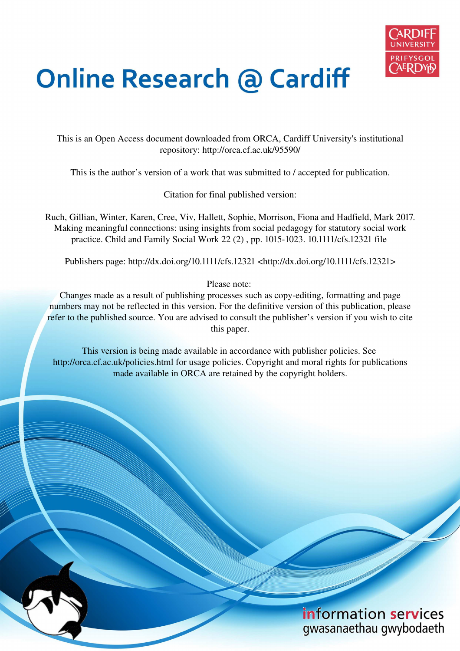

# **Online Research @ Cardiff**

This is an Open Access document downloaded from ORCA, Cardiff University's institutional repository: http://orca.cf.ac.uk/95590/

This is the author's version of a work that was submitted to / accepted for publication.

Citation for final published version:

Ruch, Gillian, Winter, Karen, Cree, Viv, Hallett, Sophie, Morrison, Fiona and Hadfield, Mark 2017. Making meaningful connections: using insights from social pedagogy for statutory social work practice. Child and Family Social Work 22 (2) , pp. 1015-1023. 10.1111/cfs.12321 file

Publishers page: http://dx.doi.org/10.1111/cfs.12321 <http://dx.doi.org/10.1111/cfs.12321>

Please note:

Changes made as a result of publishing processes such as copy-editing, formatting and page numbers may not be reflected in this version. For the definitive version of this publication, please refer to the published source. You are advised to consult the publisher's version if you wish to cite this paper.

This version is being made available in accordance with publisher policies. See http://orca.cf.ac.uk/policies.html for usage policies. Copyright and moral rights for publications made available in ORCA are retained by the copyright holders.

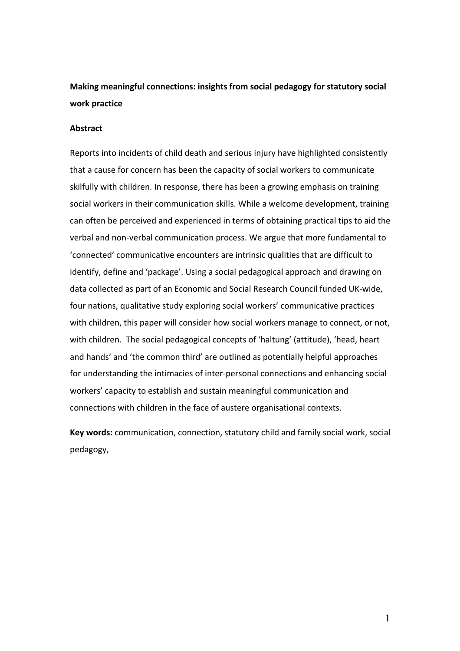# **Making meaningful connections: insights from social pedagogy for statutory social work practice**

# **Abstract**

Reports into incidents of child death and serious injury have highlighted consistently that a cause for concern has been the capacity of social workers to communicate skilfully with children. In response, there has been a growing emphasis on training social workers in their communication skills. While a welcome development, training can often be perceived and experienced in terms of obtaining practical tips to aid the verbal and non-verbal communication process. We argue that more fundamental to 'connected' communicative encounters are intrinsic qualities that are difficult to identify, define and 'package'. Using a social pedagogical approach and drawing on data collected as part of an Economic and Social Research Council funded UK-wide, four nations, qualitative study exploring social workers' communicative practices with children, this paper will consider how social workers manage to connect, or not, with children. The social pedagogical concepts of 'haltung' (attitude), 'head, heart and hands' and 'the common third' are outlined as potentially helpful approaches for understanding the intimacies of inter-personal connections and enhancing social workers' capacity to establish and sustain meaningful communication and connections with children in the face of austere organisational contexts.

**Key words:** communication, connection, statutory child and family social work, social pedagogy,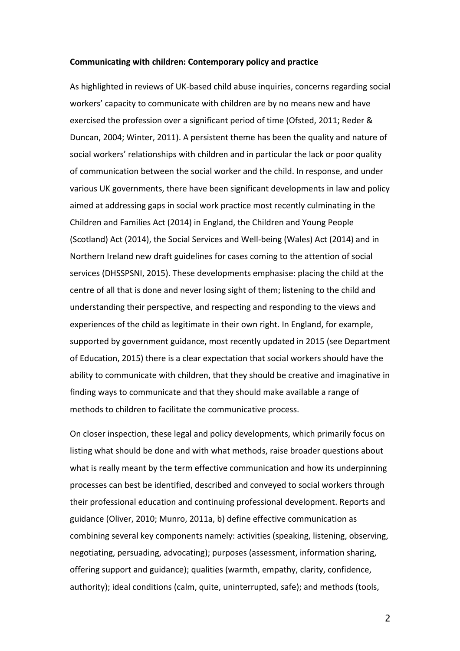#### **Communicating with children: Contemporary policy and practice**

As highlighted in reviews of UK-based child abuse inquiries, concerns regarding social workers' capacity to communicate with children are by no means new and have exercised the profession over a significant period of time (Ofsted, 2011; Reder & Duncan, 2004; Winter, 2011). A persistent theme has been the quality and nature of social workers' relationships with children and in particular the lack or poor quality of communication between the social worker and the child. In response, and under various UK governments, there have been significant developments in law and policy aimed at addressing gaps in social work practice most recently culminating in the Children and Families Act (2014) in England, the Children and Young People (Scotland) Act (2014), the Social Services and Well-being (Wales) Act (2014) and in Northern Ireland new draft guidelines for cases coming to the attention of social services (DHSSPSNI, 2015). These developments emphasise: placing the child at the centre of all that is done and never losing sight of them; listening to the child and understanding their perspective, and respecting and responding to the views and experiences of the child as legitimate in their own right. In England, for example, supported by government guidance, most recently updated in 2015 (see Department of Education, 2015) there is a clear expectation that social workers should have the ability to communicate with children, that they should be creative and imaginative in finding ways to communicate and that they should make available a range of methods to children to facilitate the communicative process.

On closer inspection, these legal and policy developments, which primarily focus on listing what should be done and with what methods, raise broader questions about what is really meant by the term effective communication and how its underpinning processes can best be identified, described and conveyed to social workers through their professional education and continuing professional development. Reports and guidance (Oliver, 2010; Munro, 2011a, b) define effective communication as combining several key components namely: activities (speaking, listening, observing, negotiating, persuading, advocating); purposes (assessment, information sharing, offering support and guidance); qualities (warmth, empathy, clarity, confidence, authority); ideal conditions (calm, quite, uninterrupted, safe); and methods (tools,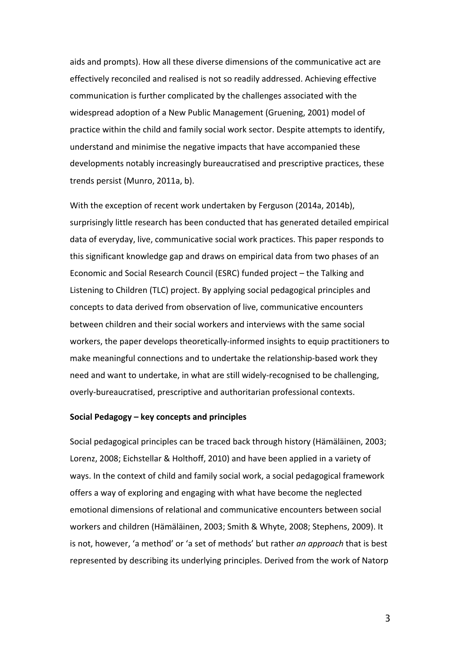aids and prompts). How all these diverse dimensions of the communicative act are effectively reconciled and realised is not so readily addressed. Achieving effective communication is further complicated by the challenges associated with the widespread adoption of a New Public Management (Gruening, 2001) model of practice within the child and family social work sector. Despite attempts to identify, understand and minimise the negative impacts that have accompanied these developments notably increasingly bureaucratised and prescriptive practices, these trends persist (Munro, 2011a, b).

With the exception of recent work undertaken by Ferguson (2014a, 2014b), surprisingly little research has been conducted that has generated detailed empirical data of everyday, live, communicative social work practices. This paper responds to this significant knowledge gap and draws on empirical data from two phases of an Economic and Social Research Council (ESRC) funded project – the Talking and Listening to Children (TLC) project. By applying social pedagogical principles and concepts to data derived from observation of live, communicative encounters between children and their social workers and interviews with the same social workers, the paper develops theoretically-informed insights to equip practitioners to make meaningful connections and to undertake the relationship-based work they need and want to undertake, in what are still widely-recognised to be challenging, overly-bureaucratised, prescriptive and authoritarian professional contexts.

#### Social Pedagogy – key concepts and principles

Social pedagogical principles can be traced back through history (Hämäläinen, 2003; Lorenz, 2008; Eichstellar & Holthoff, 2010) and have been applied in a variety of ways. In the context of child and family social work, a social pedagogical framework offers a way of exploring and engaging with what have become the neglected emotional dimensions of relational and communicative encounters between social workers and children (Hämäläinen, 2003; Smith & Whyte, 2008; Stephens, 2009). It is not, however, 'a method' or 'a set of methods' but rather *an approach* that is best represented by describing its underlying principles. Derived from the work of Natorp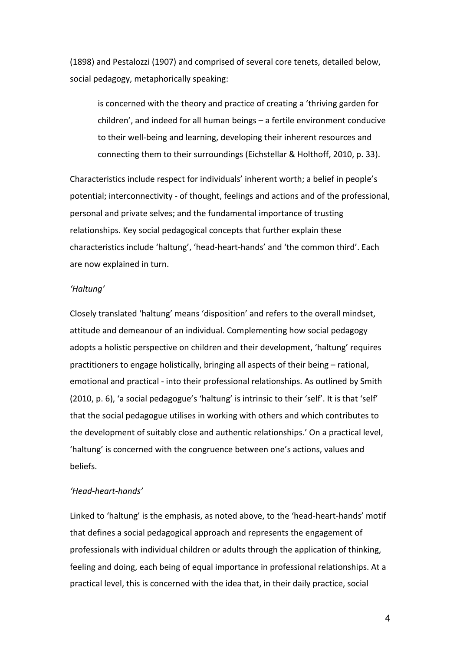(1898) and Pestalozzi (1907) and comprised of several core tenets, detailed below, social pedagogy, metaphorically speaking:

is concerned with the theory and practice of creating a 'thriving garden for children', and indeed for all human beings - a fertile environment conducive to their well-being and learning, developing their inherent resources and connecting them to their surroundings (Eichstellar & Holthoff, 2010, p. 33).

Characteristics include respect for individuals' inherent worth; a belief in people's potential; interconnectivity - of thought, feelings and actions and of the professional, personal and private selves; and the fundamental importance of trusting relationships. Key social pedagogical concepts that further explain these characteristics include 'haltung', 'head-heart-hands' and 'the common third'. Each are now explained in turn.

# *'Haltung'*

Closely translated 'haltung' means 'disposition' and refers to the overall mindset, attitude and demeanour of an individual. Complementing how social pedagogy adopts a holistic perspective on children and their development, 'haltung' requires practitioners to engage holistically, bringing all aspects of their being  $-$  rational, emotional and practical - into their professional relationships. As outlined by Smith (2010, p. 6), 'a social pedagogue's 'haltung' is intrinsic to their 'self'. It is that 'self' that the social pedagogue utilises in working with others and which contributes to the development of suitably close and authentic relationships.' On a practical level, 'haltung' is concerned with the congruence between one's actions, values and beliefs. 

# *'Head-heart-hands'*

Linked to 'haltung' is the emphasis, as noted above, to the 'head-heart-hands' motif that defines a social pedagogical approach and represents the engagement of professionals with individual children or adults through the application of thinking, feeling and doing, each being of equal importance in professional relationships. At a practical level, this is concerned with the idea that, in their daily practice, social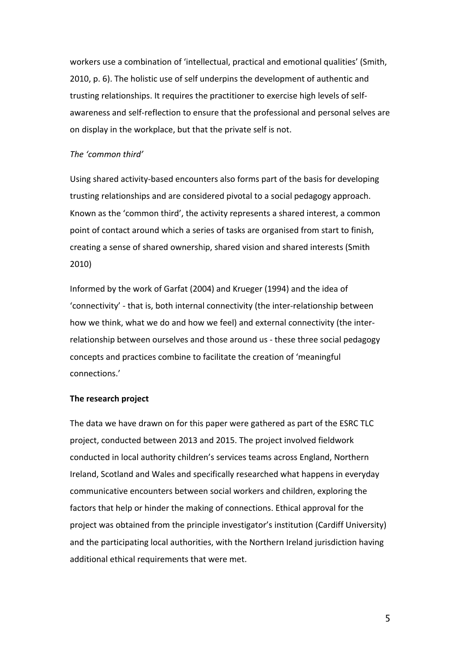workers use a combination of 'intellectual, practical and emotional qualities' (Smith, 2010, p. 6). The holistic use of self underpins the development of authentic and trusting relationships. It requires the practitioner to exercise high levels of selfawareness and self-reflection to ensure that the professional and personal selves are on display in the workplace, but that the private self is not.

#### The 'common third'

Using shared activity-based encounters also forms part of the basis for developing trusting relationships and are considered pivotal to a social pedagogy approach. Known as the 'common third', the activity represents a shared interest, a common point of contact around which a series of tasks are organised from start to finish, creating a sense of shared ownership, shared vision and shared interests (Smith 2010) 

Informed by the work of Garfat (2004) and Krueger (1994) and the idea of 'connectivity' - that is, both internal connectivity (the inter-relationship between how we think, what we do and how we feel) and external connectivity (the interrelationship between ourselves and those around us - these three social pedagogy concepts and practices combine to facilitate the creation of 'meaningful connections.' 

#### The research project

The data we have drawn on for this paper were gathered as part of the ESRC TLC project, conducted between 2013 and 2015. The project involved fieldwork conducted in local authority children's services teams across England, Northern Ireland, Scotland and Wales and specifically researched what happens in everyday communicative encounters between social workers and children, exploring the factors that help or hinder the making of connections. Ethical approval for the project was obtained from the principle investigator's institution (Cardiff University) and the participating local authorities, with the Northern Ireland jurisdiction having additional ethical requirements that were met.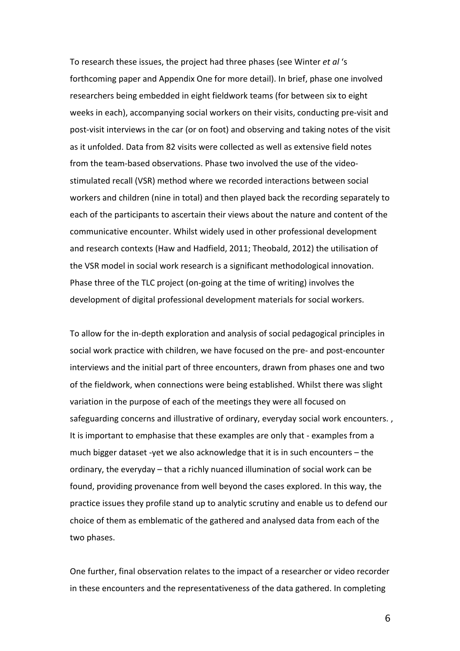To research these issues, the project had three phases (see Winter *et al 's* forthcoming paper and Appendix One for more detail). In brief, phase one involved researchers being embedded in eight fieldwork teams (for between six to eight weeks in each), accompanying social workers on their visits, conducting pre-visit and post-visit interviews in the car (or on foot) and observing and taking notes of the visit as it unfolded. Data from 82 visits were collected as well as extensive field notes from the team-based observations. Phase two involved the use of the videostimulated recall (VSR) method where we recorded interactions between social workers and children (nine in total) and then played back the recording separately to each of the participants to ascertain their views about the nature and content of the communicative encounter. Whilst widely used in other professional development and research contexts (Haw and Hadfield, 2011; Theobald, 2012) the utilisation of the VSR model in social work research is a significant methodological innovation. Phase three of the TLC project (on-going at the time of writing) involves the development of digital professional development materials for social workers.

To allow for the in-depth exploration and analysis of social pedagogical principles in social work practice with children, we have focused on the pre- and post-encounter interviews and the initial part of three encounters, drawn from phases one and two of the fieldwork, when connections were being established. Whilst there was slight variation in the purpose of each of the meetings they were all focused on safeguarding concerns and illustrative of ordinary, everyday social work encounters., It is important to emphasise that these examples are only that - examples from a much bigger dataset -yet we also acknowledge that it is in such encounters  $-$  the ordinary, the everyday – that a richly nuanced illumination of social work can be found, providing provenance from well beyond the cases explored. In this way, the practice issues they profile stand up to analytic scrutiny and enable us to defend our choice of them as emblematic of the gathered and analysed data from each of the two phases.

One further, final observation relates to the impact of a researcher or video recorder in these encounters and the representativeness of the data gathered. In completing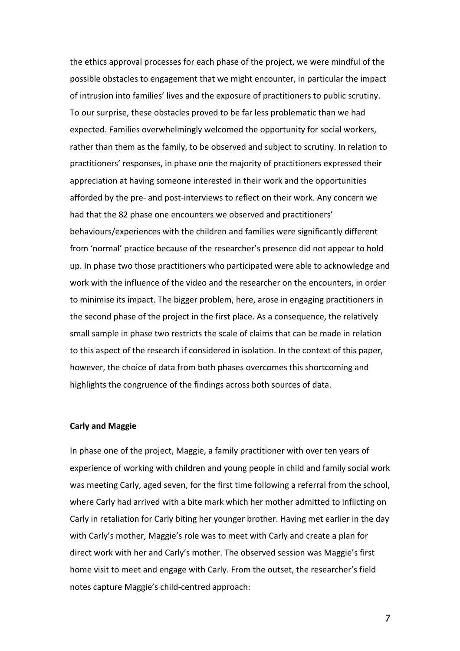the ethics approval processes for each phase of the project, we were mindful of the possible obstacles to engagement that we might encounter, in particular the impact of intrusion into families' lives and the exposure of practitioners to public scrutiny. To our surprise, these obstacles proved to be far less problematic than we had expected. Families overwhelmingly welcomed the opportunity for social workers, rather than them as the family, to be observed and subject to scrutiny. In relation to practitioners' responses, in phase one the majority of practitioners expressed their appreciation at having someone interested in their work and the opportunities afforded by the pre- and post-interviews to reflect on their work. Any concern we had that the 82 phase one encounters we observed and practitioners' behaviours/experiences with the children and families were significantly different from 'normal' practice because of the researcher's presence did not appear to hold up. In phase two those practitioners who participated were able to acknowledge and work with the influence of the video and the researcher on the encounters, in order to minimise its impact. The bigger problem, here, arose in engaging practitioners in the second phase of the project in the first place. As a consequence, the relatively small sample in phase two restricts the scale of claims that can be made in relation to this aspect of the research if considered in isolation. In the context of this paper, however, the choice of data from both phases overcomes this shortcoming and highlights the congruence of the findings across both sources of data.

#### **Carly and Maggie**

In phase one of the project, Maggie, a family practitioner with over ten years of experience of working with children and young people in child and family social work was meeting Carly, aged seven, for the first time following a referral from the school, where Carly had arrived with a bite mark which her mother admitted to inflicting on Carly in retaliation for Carly biting her younger brother. Having met earlier in the day with Carly's mother, Maggie's role was to meet with Carly and create a plan for direct work with her and Carly's mother. The observed session was Maggie's first home visit to meet and engage with Carly. From the outset, the researcher's field notes capture Maggie's child-centred approach: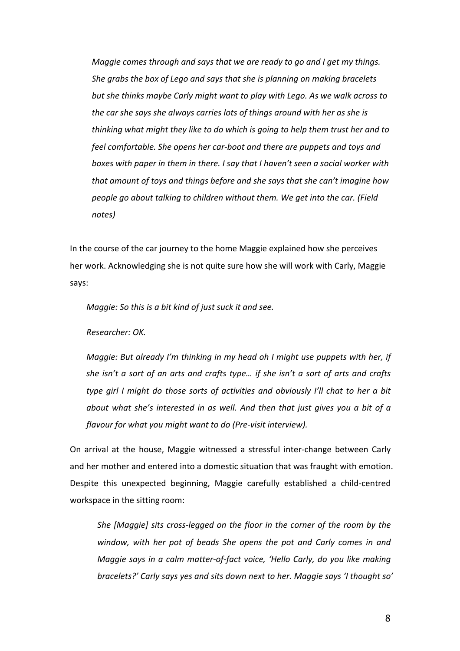*Maggie comes through and says that we are ready to go and I get my things.* She grabs the box of Lego and says that she is planning on making bracelets *but* she thinks maybe Carly might want to play with Lego. As we walk across to *the car she says she always carries lots of things around with her as she is thinking* what might they like to do which is going to help them trust her and to *feel comfortable.* She opens her car-boot and there are puppets and toys and *boxes* with paper in them in there. I say that I haven't seen a social worker with *that amount of toys and things before and she says that she can't imagine how people go about talking to children without them. We get into the car. (Field notes)* 

In the course of the car journey to the home Maggie explained how she perceives her work. Acknowledging she is not quite sure how she will work with Carly, Maggie says: 

*Maggie:* So this is a bit kind of just suck it and see.

*Researcher: OK.* 

*Maggie: But already I'm thinking in my head oh I might use puppets with her, if* she isn't a sort of an arts and crafts type... if she isn't a sort of arts and crafts *type girl* I might do those sorts of activities and obviously I'll chat to her a bit *about* what she's interested in as well. And then that just gives you a bit of a *flavour for what you might want to do (Pre-visit interview).* 

On arrival at the house, Maggie witnessed a stressful inter-change between Carly and her mother and entered into a domestic situation that was fraught with emotion. Despite this unexpected beginning, Maggie carefully established a child-centred workspace in the sitting room:

*She [Maggie]* sits cross-legged on the floor in the corner of the room by the window, with her pot of beads She opens the pot and Carly comes in and *Maggie says in a calm matter-of-fact voice, 'Hello Carly, do you like making bracelets?'* Carly says yes and sits down next to her. Maggie says 'I thought so'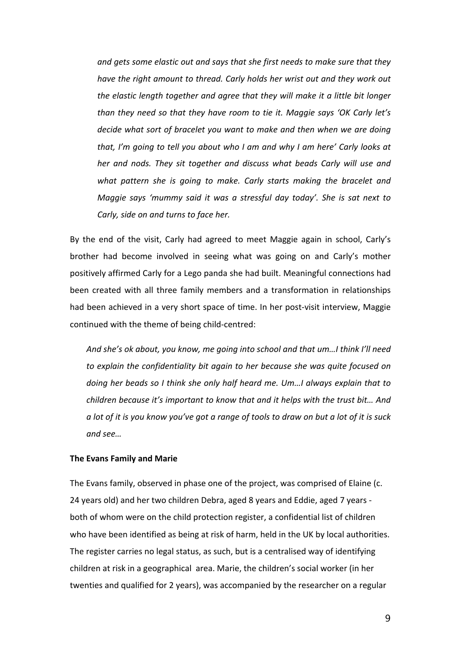*and gets some elastic out and says that she first needs to make sure that they have the right amount to thread. Carly holds her wrist out and they work out the elastic length together and agree that they will make it a little bit longer than* they need so that they have room to tie it. Maggie says 'OK Carly let's *decide* what sort of bracelet you want to make and then when we are doing *that, I'm going to tell you about who I am and why I am here' Carly looks at her* and nods. They sit together and discuss what beads Carly will use and what pattern she is going to make. Carly starts making the bracelet and *Maggie says 'mummy said it was a stressful day today'. She is sat next to Carly, side on and turns to face her.* 

By the end of the visit, Carly had agreed to meet Maggie again in school, Carly's brother had become involved in seeing what was going on and Carly's mother positively affirmed Carly for a Lego panda she had built. Meaningful connections had been created with all three family members and a transformation in relationships had been achieved in a very short space of time. In her post-visit interview, Maggie continued with the theme of being child-centred:

*And she's* ok about, you know, me going into school and that um...I think I'll need *to* explain the confidentiality bit again to her because she was quite focused on *doing her beads so I think she only half heard me. Um...I always explain that to children because it's important to know that and it helps with the trust bit... And a* lot of it is you know you've got a range of tools to draw on but a lot of it is suck *and see…* 

#### **The Evans Family and Marie**

The Evans family, observed in phase one of the project, was comprised of Elaine (c. 24 years old) and her two children Debra, aged 8 years and Eddie, aged 7 years both of whom were on the child protection register, a confidential list of children who have been identified as being at risk of harm, held in the UK by local authorities. The register carries no legal status, as such, but is a centralised way of identifying children at risk in a geographical area. Marie, the children's social worker (in her twenties and qualified for 2 years), was accompanied by the researcher on a regular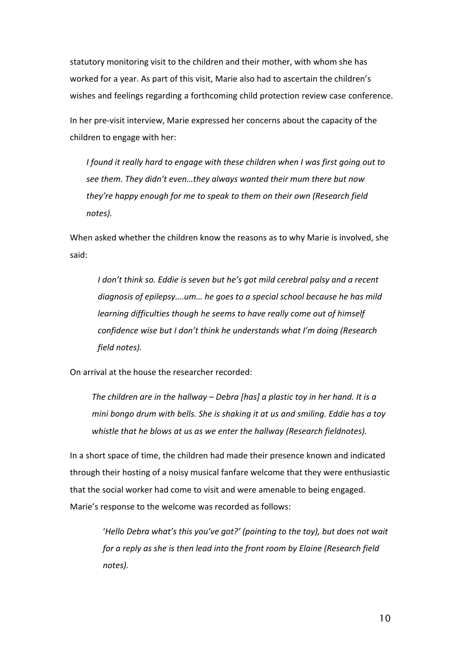statutory monitoring visit to the children and their mother, with whom she has worked for a year. As part of this visit, Marie also had to ascertain the children's wishes and feelings regarding a forthcoming child protection review case conference.

In her pre-visit interview, Marie expressed her concerns about the capacity of the children to engage with her:

*I* found it really hard to engage with these children when I was first going out to see them. They didn't even...they always wanted their mum there but now *they're happy enough for me to speak to them on their own (Research field notes).* 

When asked whether the children know the reasons as to why Marie is involved, she said: 

*I* don't think so. Eddie is seven but he's got mild cerebral palsy and a recent diagnosis of epilepsy....um... he goes to a special school because he has mild *learning difficulties though he seems to have really come out of himself confidence wise but I don't think he understands what I'm doing (Research*) *field notes).* 

On arrival at the house the researcher recorded:

*The children are in the hallway* – Debra [has] a plastic toy in her hand. It is a *mini bongo drum with bells. She is shaking it at us and smiling. Eddie has a toy* whistle that he blows at us as we enter the hallway (Research fieldnotes).

In a short space of time, the children had made their presence known and indicated through their hosting of a noisy musical fanfare welcome that they were enthusiastic that the social worker had come to visit and were amenable to being engaged. Marie's response to the welcome was recorded as follows:

'*Hello Debra what's this you've got?'* (pointing to the toy), but does not wait *for a reply as she is then lead into the front room by Elaine (Research field notes).*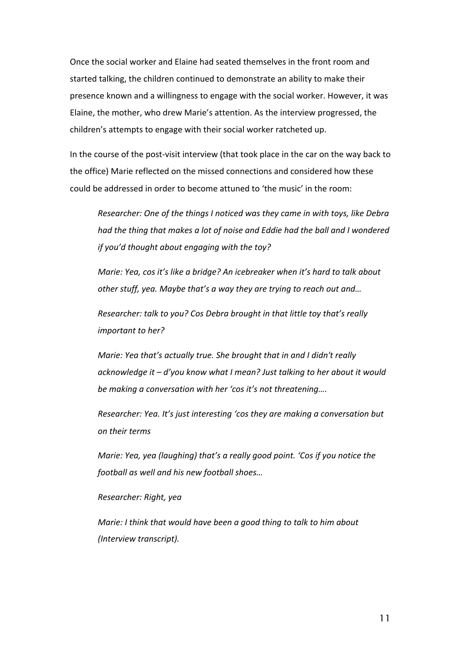Once the social worker and Elaine had seated themselves in the front room and started talking, the children continued to demonstrate an ability to make their presence known and a willingness to engage with the social worker. However, it was Elaine, the mother, who drew Marie's attention. As the interview progressed, the children's attempts to engage with their social worker ratcheted up.

In the course of the post-visit interview (that took place in the car on the way back to the office) Marie reflected on the missed connections and considered how these could be addressed in order to become attuned to 'the music' in the room:

*Researcher:* One of the things I noticed was they came in with toys, like Debra *had* the thing that makes a lot of noise and Eddie had the ball and I wondered *if* you'd thought about engaging with the toy?

*Marie: Yea, cos it's like a bridge? An icebreaker when it's hard to talk about other stuff, yea.* Maybe that's a way they are trying to reach out and...

*Researcher: talk to you? Cos Debra brought in that little toy that's really important to her?* 

*Marie: Yea that's actually true. She brought that in and I didn't really* acknowledge it – d'you know what I mean? Just talking to her about it would *be making a conversation with her 'cos it's not threatening....* 

*Researcher: Yea. It's just interesting 'cos they are making a conversation but on their terms* 

*Marie: Yea, yea (laughing)* that's a really good point. 'Cos if you notice the *football as well and his new football shoes...* 

*Researcher: Right, yea*

*Marie: I think that would have been a good thing to talk to him about (Interview transcript).*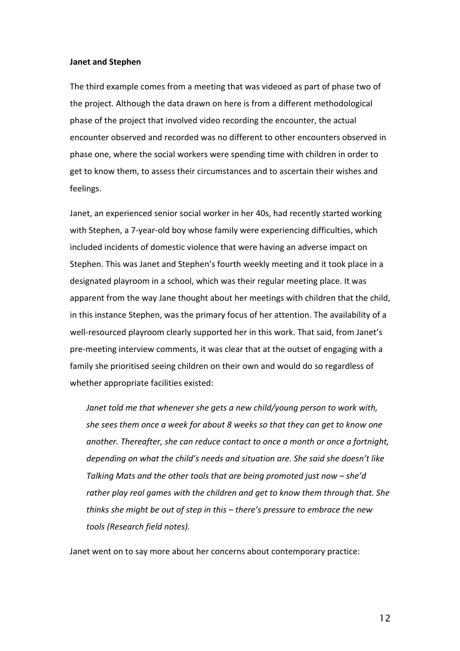#### **Janet and Stephen**

The third example comes from a meeting that was videoed as part of phase two of the project. Although the data drawn on here is from a different methodological phase of the project that involved video recording the encounter, the actual encounter observed and recorded was no different to other encounters observed in phase one, where the social workers were spending time with children in order to get to know them, to assess their circumstances and to ascertain their wishes and feelings.

Janet, an experienced senior social worker in her 40s, had recently started working with Stephen, a 7-year-old boy whose family were experiencing difficulties, which included incidents of domestic violence that were having an adverse impact on Stephen. This was Janet and Stephen's fourth weekly meeting and it took place in a designated playroom in a school, which was their regular meeting place. It was apparent from the way Jane thought about her meetings with children that the child, in this instance Stephen, was the primary focus of her attention. The availability of a well-resourced playroom clearly supported her in this work. That said, from Janet's pre-meeting interview comments, it was clear that at the outset of engaging with a family she prioritised seeing children on their own and would do so regardless of whether appropriate facilities existed:

*Janet told me that whenever she gets a new child/young person to work with, she sees them once a week for about 8 weeks so that they can get to know one another.* Thereafter, she can reduce contact to once a month or once a fortnight, *depending* on what the child's needs and situation are. She said she doesn't like Talking Mats and the other tools that are being promoted just now – she'd rather play real games with the children and get to know them through that. She *thinks* she might be out of step in this – there's pressure to embrace the new *tools (Research field notes).* 

Janet went on to say more about her concerns about contemporary practice: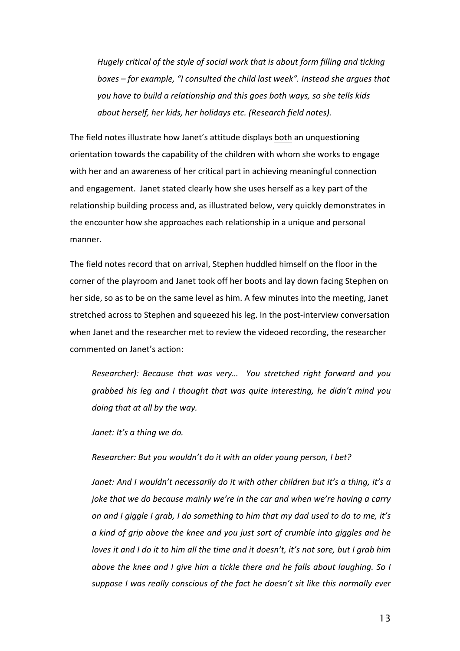*Hugely critical of the style of social work that is about form filling and ticking boxes* – for example, "I consulted the child last week". Instead she argues that you have to build a relationship and this goes both ways, so she tells kids *about herself, her kids, her holidays etc. (Research field notes).* 

The field notes illustrate how Janet's attitude displays both an unquestioning orientation towards the capability of the children with whom she works to engage with her and an awareness of her critical part in achieving meaningful connection and engagement. Janet stated clearly how she uses herself as a key part of the relationship building process and, as illustrated below, very quickly demonstrates in the encounter how she approaches each relationship in a unique and personal manner. 

The field notes record that on arrival, Stephen huddled himself on the floor in the corner of the playroom and Janet took off her boots and lay down facing Stephen on her side, so as to be on the same level as him. A few minutes into the meeting, Janet stretched across to Stephen and squeezed his leg. In the post-interview conversation when Janet and the researcher met to review the videoed recording, the researcher commented on Janet's action:

*Researcher):* Because that was very... You stretched right forward and you *grabbed his leg and I thought that was quite interesting, he didn't mind you doing that at all by the way.* 

*Janet: It's a thing we do.* 

*Researcher: But you wouldn't do it with an older young person, I bet?* 

*Janet:* And I wouldn't necessarily do it with other children but it's a thing, it's a *joke that* we do because mainly we're in the car and when we're having a carry *on* and I giggle I grab, I do something to him that my dad used to do to me, it's *a* kind of grip above the knee and you just sort of crumble into giggles and he *loves* it and I do it to him all the time and it doesn't, it's not sore, but I grab him *above the knee and I give him a tickle there and he falls about laughing. So I* suppose I was really conscious of the fact he doesn't sit like this normally ever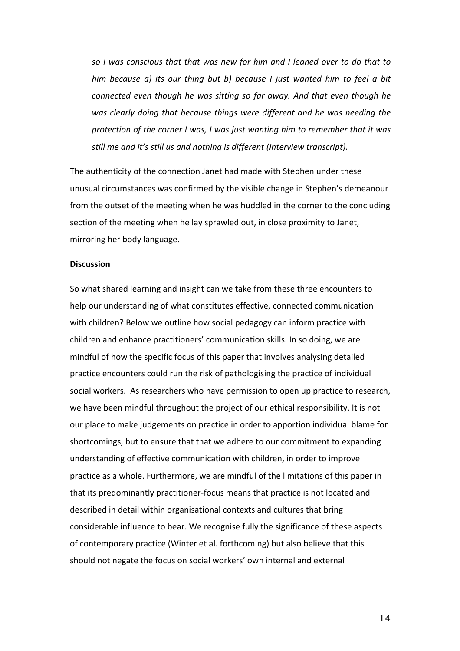so I was conscious that that was new for him and I leaned over to do that to *him* because a) its our thing but b) because I just wanted him to feel a bit *connected even though he was sitting so far away. And that even though he* was clearly doing that because things were different and he was needing the *protection of the corner I was, I was just wanting him to remember that it was still* me and it's still us and nothing is different (Interview transcript).

The authenticity of the connection Janet had made with Stephen under these unusual circumstances was confirmed by the visible change in Stephen's demeanour from the outset of the meeting when he was huddled in the corner to the concluding section of the meeting when he lay sprawled out, in close proximity to Janet, mirroring her body language.

#### **Discussion**

So what shared learning and insight can we take from these three encounters to help our understanding of what constitutes effective, connected communication with children? Below we outline how social pedagogy can inform practice with children and enhance practitioners' communication skills. In so doing, we are mindful of how the specific focus of this paper that involves analysing detailed practice encounters could run the risk of pathologising the practice of individual social workers. As researchers who have permission to open up practice to research, we have been mindful throughout the project of our ethical responsibility. It is not our place to make judgements on practice in order to apportion individual blame for shortcomings, but to ensure that that we adhere to our commitment to expanding understanding of effective communication with children, in order to improve practice as a whole. Furthermore, we are mindful of the limitations of this paper in that its predominantly practitioner-focus means that practice is not located and described in detail within organisational contexts and cultures that bring considerable influence to bear. We recognise fully the significance of these aspects of contemporary practice (Winter et al. forthcoming) but also believe that this should not negate the focus on social workers' own internal and external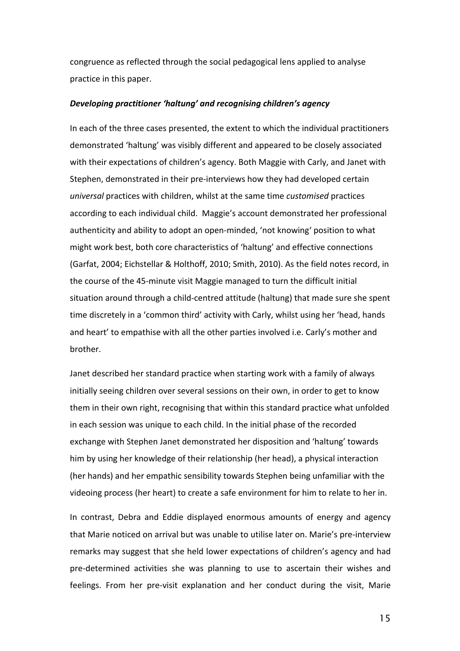congruence as reflected through the social pedagogical lens applied to analyse practice in this paper.

#### *Developing practitioner 'haltung' and recognising children's agency*

In each of the three cases presented, the extent to which the individual practitioners demonstrated 'haltung' was visibly different and appeared to be closely associated with their expectations of children's agency. Both Maggie with Carly, and Janet with Stephen, demonstrated in their pre-interviews how they had developed certain *universal* practices with children, whilst at the same time *customised* practices according to each individual child. Maggie's account demonstrated her professional authenticity and ability to adopt an open-minded, 'not knowing' position to what might work best, both core characteristics of 'haltung' and effective connections (Garfat, 2004; Eichstellar & Holthoff, 2010; Smith, 2010). As the field notes record, in the course of the 45-minute visit Maggie managed to turn the difficult initial situation around through a child-centred attitude (haltung) that made sure she spent time discretely in a 'common third' activity with Carly, whilst using her 'head, hands and heart' to empathise with all the other parties involved i.e. Carly's mother and brother. 

Janet described her standard practice when starting work with a family of always initially seeing children over several sessions on their own, in order to get to know them in their own right, recognising that within this standard practice what unfolded in each session was unique to each child. In the initial phase of the recorded exchange with Stephen Janet demonstrated her disposition and 'haltung' towards him by using her knowledge of their relationship (her head), a physical interaction (her hands) and her empathic sensibility towards Stephen being unfamiliar with the videoing process (her heart) to create a safe environment for him to relate to her in.

In contrast, Debra and Eddie displayed enormous amounts of energy and agency that Marie noticed on arrival but was unable to utilise later on. Marie's pre-interview remarks may suggest that she held lower expectations of children's agency and had pre-determined activities she was planning to use to ascertain their wishes and feelings. From her pre-visit explanation and her conduct during the visit, Marie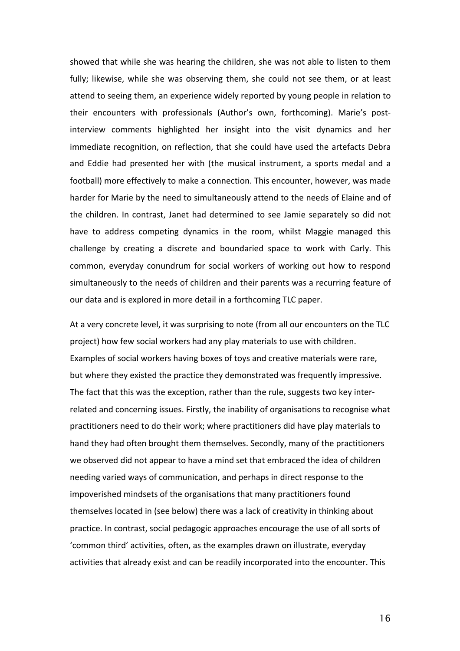showed that while she was hearing the children, she was not able to listen to them fully; likewise, while she was observing them, she could not see them, or at least attend to seeing them, an experience widely reported by young people in relation to their encounters with professionals (Author's own, forthcoming). Marie's postinterview comments highlighted her insight into the visit dynamics and her immediate recognition, on reflection, that she could have used the artefacts Debra and Eddie had presented her with (the musical instrument, a sports medal and a football) more effectively to make a connection. This encounter, however, was made harder for Marie by the need to simultaneously attend to the needs of Elaine and of the children. In contrast, Janet had determined to see Jamie separately so did not have to address competing dynamics in the room, whilst Maggie managed this challenge by creating a discrete and boundaried space to work with Carly. This common, everyday conundrum for social workers of working out how to respond simultaneously to the needs of children and their parents was a recurring feature of our data and is explored in more detail in a forthcoming TLC paper.

At a very concrete level, it was surprising to note (from all our encounters on the TLC project) how few social workers had any play materials to use with children. Examples of social workers having boxes of toys and creative materials were rare, but where they existed the practice they demonstrated was frequently impressive. The fact that this was the exception, rather than the rule, suggests two key interrelated and concerning issues. Firstly, the inability of organisations to recognise what practitioners need to do their work; where practitioners did have play materials to hand they had often brought them themselves. Secondly, many of the practitioners we observed did not appear to have a mind set that embraced the idea of children needing varied ways of communication, and perhaps in direct response to the impoverished mindsets of the organisations that many practitioners found themselves located in (see below) there was a lack of creativity in thinking about practice. In contrast, social pedagogic approaches encourage the use of all sorts of 'common third' activities, often, as the examples drawn on illustrate, everyday activities that already exist and can be readily incorporated into the encounter. This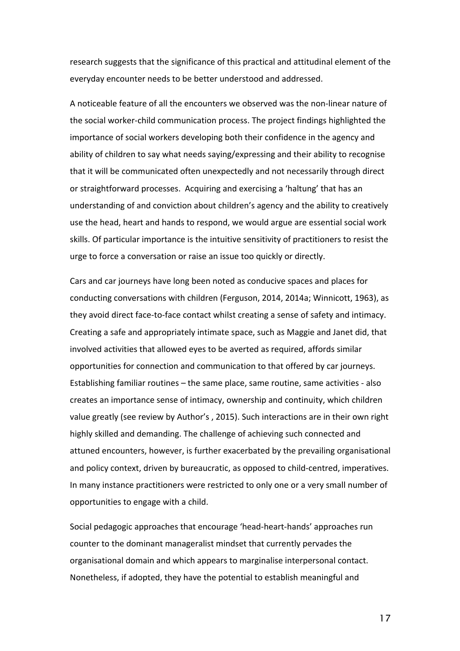research suggests that the significance of this practical and attitudinal element of the everyday encounter needs to be better understood and addressed.

A noticeable feature of all the encounters we observed was the non-linear nature of the social worker-child communication process. The project findings highlighted the importance of social workers developing both their confidence in the agency and ability of children to say what needs saying/expressing and their ability to recognise that it will be communicated often unexpectedly and not necessarily through direct or straightforward processes. Acquiring and exercising a 'haltung' that has an understanding of and conviction about children's agency and the ability to creatively use the head, heart and hands to respond, we would argue are essential social work skills. Of particular importance is the intuitive sensitivity of practitioners to resist the urge to force a conversation or raise an issue too quickly or directly.

Cars and car journeys have long been noted as conducive spaces and places for conducting conversations with children (Ferguson, 2014, 2014a; Winnicott, 1963), as they avoid direct face-to-face contact whilst creating a sense of safety and intimacy. Creating a safe and appropriately intimate space, such as Maggie and Janet did, that involved activities that allowed eyes to be averted as required, affords similar opportunities for connection and communication to that offered by car journeys. Establishing familiar routines  $-$  the same place, same routine, same activities - also creates an importance sense of intimacy, ownership and continuity, which children value greatly (see review by Author's, 2015). Such interactions are in their own right highly skilled and demanding. The challenge of achieving such connected and attuned encounters, however, is further exacerbated by the prevailing organisational and policy context, driven by bureaucratic, as opposed to child-centred, imperatives. In many instance practitioners were restricted to only one or a very small number of opportunities to engage with a child.

Social pedagogic approaches that encourage 'head-heart-hands' approaches run counter to the dominant manageralist mindset that currently pervades the organisational domain and which appears to marginalise interpersonal contact. Nonetheless, if adopted, they have the potential to establish meaningful and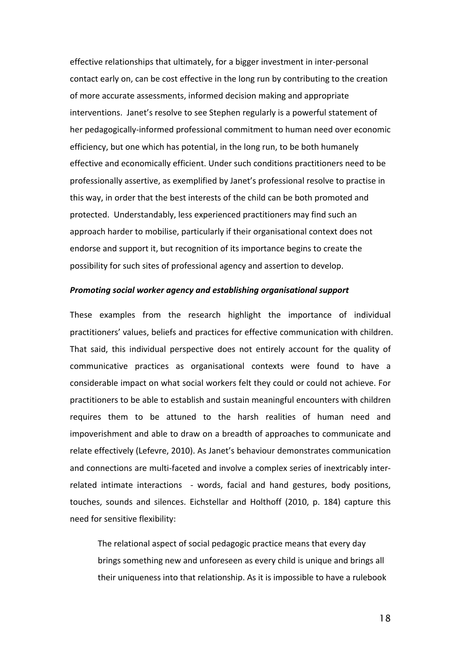effective relationships that ultimately, for a bigger investment in inter-personal contact early on, can be cost effective in the long run by contributing to the creation of more accurate assessments, informed decision making and appropriate interventions. Janet's resolve to see Stephen regularly is a powerful statement of her pedagogically-informed professional commitment to human need over economic efficiency, but one which has potential, in the long run, to be both humanely effective and economically efficient. Under such conditions practitioners need to be professionally assertive, as exemplified by Janet's professional resolve to practise in this way, in order that the best interests of the child can be both promoted and protected. Understandably, less experienced practitioners may find such an approach harder to mobilise, particularly if their organisational context does not endorse and support it, but recognition of its importance begins to create the possibility for such sites of professional agency and assertion to develop.

#### *Promoting social worker agency and establishing organisational support*

These examples from the research highlight the importance of individual practitioners' values, beliefs and practices for effective communication with children. That said, this individual perspective does not entirely account for the quality of communicative practices as organisational contexts were found to have a considerable impact on what social workers felt they could or could not achieve. For practitioners to be able to establish and sustain meaningful encounters with children requires them to be attuned to the harsh realities of human need and impoverishment and able to draw on a breadth of approaches to communicate and relate effectively (Lefevre, 2010). As Janet's behaviour demonstrates communication and connections are multi-faceted and involve a complex series of inextricably interrelated intimate interactions - words, facial and hand gestures, body positions, touches, sounds and silences. Eichstellar and Holthoff (2010, p. 184) capture this need for sensitive flexibility:

The relational aspect of social pedagogic practice means that every day brings something new and unforeseen as every child is unique and brings all their uniqueness into that relationship. As it is impossible to have a rulebook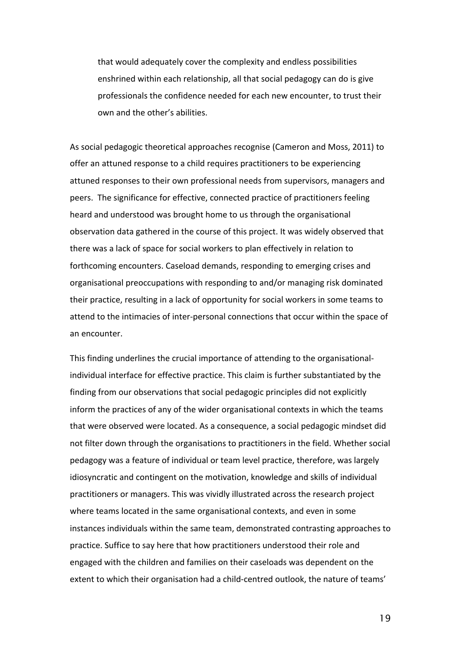that would adequately cover the complexity and endless possibilities enshrined within each relationship, all that social pedagogy can do is give professionals the confidence needed for each new encounter, to trust their own and the other's abilities.

As social pedagogic theoretical approaches recognise (Cameron and Moss, 2011) to offer an attuned response to a child requires practitioners to be experiencing attuned responses to their own professional needs from supervisors, managers and peers. The significance for effective, connected practice of practitioners feeling heard and understood was brought home to us through the organisational observation data gathered in the course of this project. It was widely observed that there was a lack of space for social workers to plan effectively in relation to forthcoming encounters. Caseload demands, responding to emerging crises and organisational preoccupations with responding to and/or managing risk dominated their practice, resulting in a lack of opportunity for social workers in some teams to attend to the intimacies of inter-personal connections that occur within the space of an encounter.

This finding underlines the crucial importance of attending to the organisationalindividual interface for effective practice. This claim is further substantiated by the finding from our observations that social pedagogic principles did not explicitly inform the practices of any of the wider organisational contexts in which the teams that were observed were located. As a consequence, a social pedagogic mindset did not filter down through the organisations to practitioners in the field. Whether social pedagogy was a feature of individual or team level practice, therefore, was largely idiosyncratic and contingent on the motivation, knowledge and skills of individual practitioners or managers. This was vividly illustrated across the research project where teams located in the same organisational contexts, and even in some instances individuals within the same team, demonstrated contrasting approaches to practice. Suffice to say here that how practitioners understood their role and engaged with the children and families on their caseloads was dependent on the extent to which their organisation had a child-centred outlook, the nature of teams'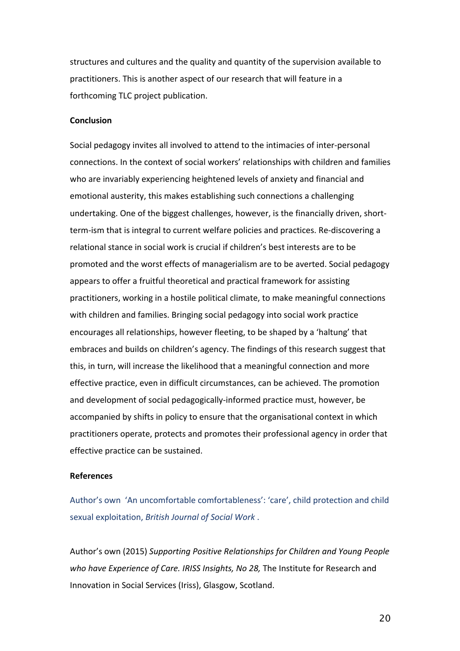structures and cultures and the quality and quantity of the supervision available to practitioners. This is another aspect of our research that will feature in a forthcoming TLC project publication.

# **Conclusion**

Social pedagogy invites all involved to attend to the intimacies of inter-personal connections. In the context of social workers' relationships with children and families who are invariably experiencing heightened levels of anxiety and financial and emotional austerity, this makes establishing such connections a challenging undertaking. One of the biggest challenges, however, is the financially driven, shortterm-ism that is integral to current welfare policies and practices. Re-discovering a relational stance in social work is crucial if children's best interests are to be promoted and the worst effects of managerialism are to be averted. Social pedagogy appears to offer a fruitful theoretical and practical framework for assisting practitioners, working in a hostile political climate, to make meaningful connections with children and families. Bringing social pedagogy into social work practice encourages all relationships, however fleeting, to be shaped by a 'haltung' that embraces and builds on children's agency. The findings of this research suggest that this, in turn, will increase the likelihood that a meaningful connection and more effective practice, even in difficult circumstances, can be achieved. The promotion and development of social pedagogically-informed practice must, however, be accompanied by shifts in policy to ensure that the organisational context in which practitioners operate, protects and promotes their professional agency in order that effective practice can be sustained.

# **References**

Author's own 'An uncomfortable comfortableness': 'care', child protection and child sexual exploitation, British Journal of Social Work.

Author's own (2015) Supporting Positive Relationships for Children and Young People *who have Experience of Care. IRISS Insights, No 28,* The Institute for Research and Innovation in Social Services (Iriss), Glasgow, Scotland.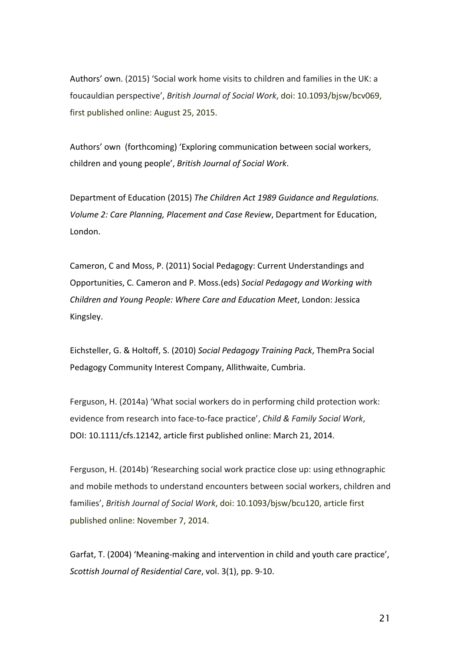Authors' own. (2015) 'Social work home visits to children and families in the UK: a foucauldian perspective', British Journal of Social Work, doi: 10.1093/bjsw/bcv069, first published online: August 25, 2015.

Authors' own (forthcoming) 'Exploring communication between social workers, children and young people', *British Journal of Social Work*.

Department of Education (2015) The Children Act 1989 Guidance and Regulations. *Volume 2: Care Planning, Placement and Case Review, Department for Education,* London. 

Cameron, C and Moss, P. (2011) Social Pedagogy: Current Understandings and Opportunities, C. Cameron and P. Moss.(eds) Social Pedagogy and Working with *Children and Young People: Where Care and Education Meet, London: Jessica* Kingsley. 

Eichsteller, G. & Holtoff, S. (2010) *Social Pedagogy Training Pack*, ThemPra Social Pedagogy Community Interest Company, Allithwaite, Cumbria.

Ferguson, H. (2014a) 'What social workers do in performing child protection work: evidence from research into face-to-face practice', *Child & Family Social Work*, DOI: 10.1111/cfs.12142, article first published online: March 21, 2014.

Ferguson, H. (2014b) 'Researching social work practice close up: using ethnographic and mobile methods to understand encounters between social workers, children and families', British Journal of Social Work, doi: 10.1093/bjsw/bcu120, article first published online: November 7, 2014.

Garfat, T. (2004) 'Meaning-making and intervention in child and youth care practice', *Scottish Journal of Residential Care, vol.* 3(1), pp. 9-10.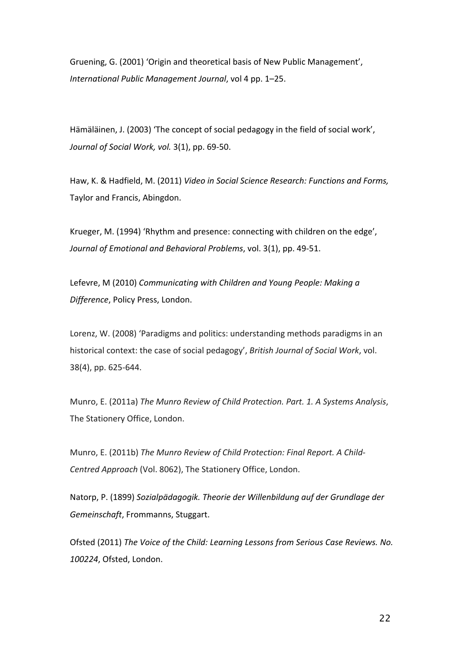Gruening, G. (2001) 'Origin and theoretical basis of New Public Management', *International Public Management Journal*, vol 4 pp. 1–25. 

Hämäläinen, J. (2003) 'The concept of social pedagogy in the field of social work', Journal of Social Work, vol. 3(1), pp. 69-50.

Haw, K. & Hadfield, M. (2011) Video in Social Science Research: Functions and Forms, Taylor and Francis, Abingdon.

Krueger, M. (1994) 'Rhythm and presence: connecting with children on the edge', *Journal of Emotional and Behavioral Problems, vol.* 3(1), pp. 49-51.

Lefevre, M (2010) Communicating with Children and Young People: Making a **Difference, Policy Press, London.** 

Lorenz, W. (2008) 'Paradigms and politics: understanding methods paradigms in an historical context: the case of social pedagogy', *British Journal of Social Work*, vol. 38(4), pp. 625-644.

Munro, E. (2011a) The Munro Review of Child Protection. Part. 1. A Systems Analysis, The Stationery Office, London.

Munro, E. (2011b) The Munro Review of Child Protection: Final Report. A Child-*Centred Approach* (Vol. 8062), The Stationery Office, London.

Natorp, P. (1899) Sozialpädagogik. Theorie der Willenbildung auf der Grundlage der *Gemeinschaft*, Frommanns, Stuggart.

Ofsted (2011) The Voice of the Child: Learning Lessons from Serious Case Reviews. No. 100224, Ofsted, London.